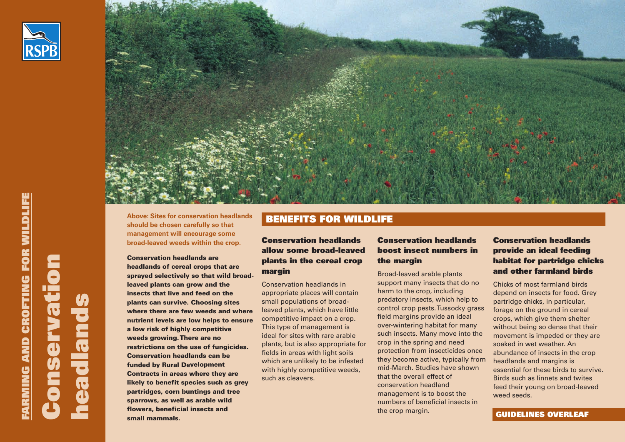



**Above: Sites for conservation headlands**<br>**BENEFITS FOR WILDLIFE should be chosen carefully so that management will encourage some broad-leaved weeds within the crop.**

**Conservation headlands are headlands of cereal crops that are sprayed selectively so that wild broadleaved plants can grow and the insects that live and feed on the plants can survive. Choosing sites where there are few weeds and where nutrient levels are low helps to ensure a low risk of highly competitive weeds growing. There are no restrictions on the use of fungicides. Conservation headlands can be funded by Rural Development Contracts in areas where they are likely to benefit species such as grey partridges, corn buntings and tree sparrows, as well as arable wild flowers, beneficial insects and small mammals.**

### **Conservation headlands allow some broad-leaved plants in the cereal crop margin**

Conservation headlands in appropriate places will contain small populations of broadleaved plants, which have little competitive impact on a crop. This type of management is ideal for sites with rare arable plants, but is also appropriate for fields in areas with light soils which are unlikely to be infested with highly competitive weeds, such as cleavers.

# **Conservation headlands boost insect numbers in the margin**

Broad-leaved arable plants support many insects that do no harm to the crop, including predatory insects, which help to control crop pests. Tussocky grass field margins provide an ideal over-wintering habitat for many such insects. Many move into the crop in the spring and need protection from insecticides once they become active, typically from mid-March. Studies have shown that the overall effect of conservation headland management is to boost the numbers of beneficial insects in the crop margin.

# **Conservation headlands provide an ideal feeding habitat for partridge chicks and other farmland birds**

Chicks of most farmland birds depend on insects for food. Grey partridge chicks, in particular, forage on the ground in cereal crops, which give them shelter without being so dense that their movement is impeded or they are soaked in wet weather. An abundance of insects in the crop headlands and margins is essential for these birds to survive. Birds such as linnets and twites feed their young on broad-leaved weed seeds.

#### **GUIDELINES OVERLEAF**

**E**

**C**

**h**

**ead l a n**

**d**

**s**

**o**

**nserv atio**

**n**